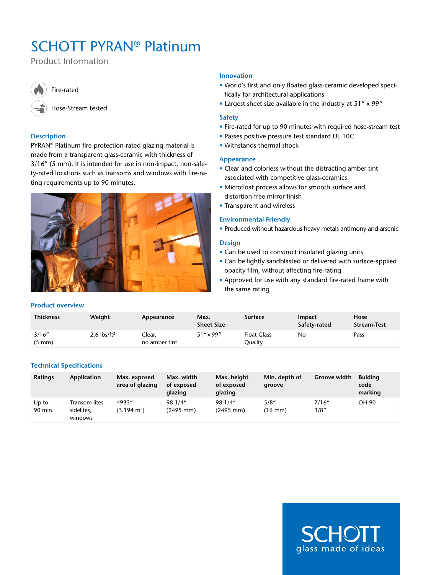# SCHOTT PYRAN® Platinum

Product Information



# Fire-rated

Hose-Stream tested

# **Description**

PYRAN® Platinum fire-protection-rated glazing material is made from a transparent glass-ceramic with thickness of 3/16" (5 mm). It is intended for use in non-impact, non-safety-rated locations such as transoms and windows with fire-rating requirements up to 90 minutes.



# **Innovation**

- • World's first and only floated glass-ceramic developed specifically for architectural applications
- Largest sheet size available in the industry at 51" x 99"

## **Safety**

- Fire-rated for up to 90 minutes with required hose-stream test
- Passes positive pressure test standard UL 10C
- • Withstands thermal shock

## **Appearance**

- Clear and colorless without the distracting amber tint associated with competitive glass-ceramics
- • Microfloat process allows for smooth surface and distortion-free mirror finish
- Transparent and wireless

## **Environmental Friendly**

• Produced without hazardous heavy metals antimony and arsenic

## **Design**

- Can be used to construct insulated glazing units
- Can be lightly sandblasted or delivered with surface-applied opacity film, without affecting fire-rating
- Approved for use with any standard fire-rated frame with the same rating

| <b>Thickness</b>           | Weight                          | Appearance              | Max.<br><b>Sheet Size</b> | <b>Surface</b>                | Impact<br>Safety-rated | Hose<br><b>Stream Test</b> |
|----------------------------|---------------------------------|-------------------------|---------------------------|-------------------------------|------------------------|----------------------------|
| 3/16''<br>$(5 \text{ mm})$ | 2.6 $\frac{\text{b}}{\text{f}}$ | Clear,<br>no amber tint | $51''$ x 99"              | <b>Float Glass</b><br>Quality | No                     | Pass                       |

# **Technical Specifications**

**Product overview**

| <b>Ratings</b>   | Application                            | Max. exposed<br>area of glazing | Max. width<br>of exposed<br>glazing | Max. height<br>of exposed<br>glazing | Min. depth of<br>groove    | <b>Groove width</b> | <b>Bulding</b><br>code<br>marking |
|------------------|----------------------------------------|---------------------------------|-------------------------------------|--------------------------------------|----------------------------|---------------------|-----------------------------------|
| Up to<br>90 min. | Transom lites<br>sidelites,<br>windows | 4933"<br>$(3.194 \text{ m}^2)$  | 98 1/4"<br>$(2495 \, \text{mm})$    | 98 1/4"<br>$(2495 \, \text{mm})$     | 5/8''<br>$(16 \text{ mm})$ | 7/16''<br>3/8''     | OH-90                             |